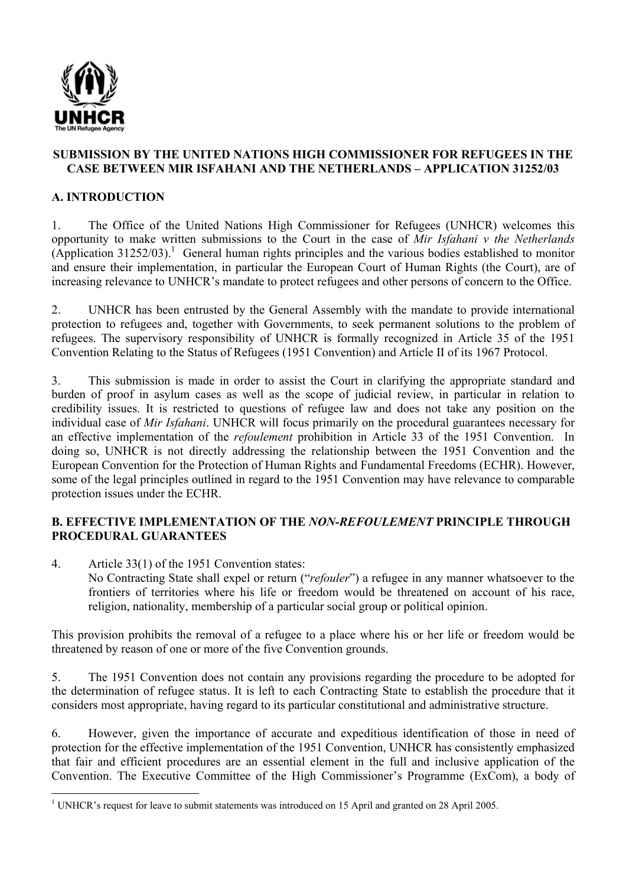

#### **SUBMISSION BY THE UNITED NATIONS HIGH COMMISSIONER FOR REFUGEES IN THE CASE BETWEEN MIR ISFAHANI AND THE NETHERLANDS – APPLICATION 31252/03**

## **A. INTRODUCTION**

1. The Office of the United Nations High Commissioner for Refugees (UNHCR) welcomes this opportunity to make written submissions to the Court in the case of *Mir Isfahani v the Netherlands*  $(A$ pplication 31252/03).<sup>1</sup> General human rights principles and the various bodies established to monitor and ensure their implementation, in particular the European Court of Human Rights (the Court), are of increasing relevance to UNHCR's mandate to protect refugees and other persons of concern to the Office.

2. UNHCR has been entrusted by the General Assembly with the mandate to provide international protection to refugees and, together with Governments, to seek permanent solutions to the problem of refugees. The supervisory responsibility of UNHCR is formally recognized in Article 35 of the 1951 Convention Relating to the Status of Refugees (1951 Convention) and Article II of its 1967 Protocol.

3. This submission is made in order to assist the Court in clarifying the appropriate standard and burden of proof in asylum cases as well as the scope of judicial review, in particular in relation to credibility issues. It is restricted to questions of refugee law and does not take any position on the individual case of *Mir Isfahani*. UNHCR will focus primarily on the procedural guarantees necessary for an effective implementation of the *refoulement* prohibition in Article 33 of the 1951 Convention. In doing so, UNHCR is not directly addressing the relationship between the 1951 Convention and the European Convention for the Protection of Human Rights and Fundamental Freedoms (ECHR). However, some of the legal principles outlined in regard to the 1951 Convention may have relevance to comparable protection issues under the ECHR.

### **B. EFFECTIVE IMPLEMENTATION OF THE** *NON-REFOULEMENT* **PRINCIPLE THROUGH PROCEDURAL GUARANTEES**

4. Article 33(1) of the 1951 Convention states: No Contracting State shall expel or return ("*refouler*") a refugee in any manner whatsoever to the frontiers of territories where his life or freedom would be threatened on account of his race, religion, nationality, membership of a particular social group or political opinion.

This provision prohibits the removal of a refugee to a place where his or her life or freedom would be threatened by reason of one or more of the five Convention grounds.

5. The 1951 Convention does not contain any provisions regarding the procedure to be adopted for the determination of refugee status. It is left to each Contracting State to establish the procedure that it considers most appropriate, having regard to its particular constitutional and administrative structure.

6. However, given the importance of accurate and expeditious identification of those in need of protection for the effective implementation of the 1951 Convention, UNHCR has consistently emphasized that fair and efficient procedures are an essential element in the full and inclusive application of the Convention. The Executive Committee of the High Commissioner's Programme (ExCom), a body of

<sup>&</sup>lt;sup>1</sup> UNHCR's request for leave to submit statements was introduced on 15 April and granted on 28 April 2005.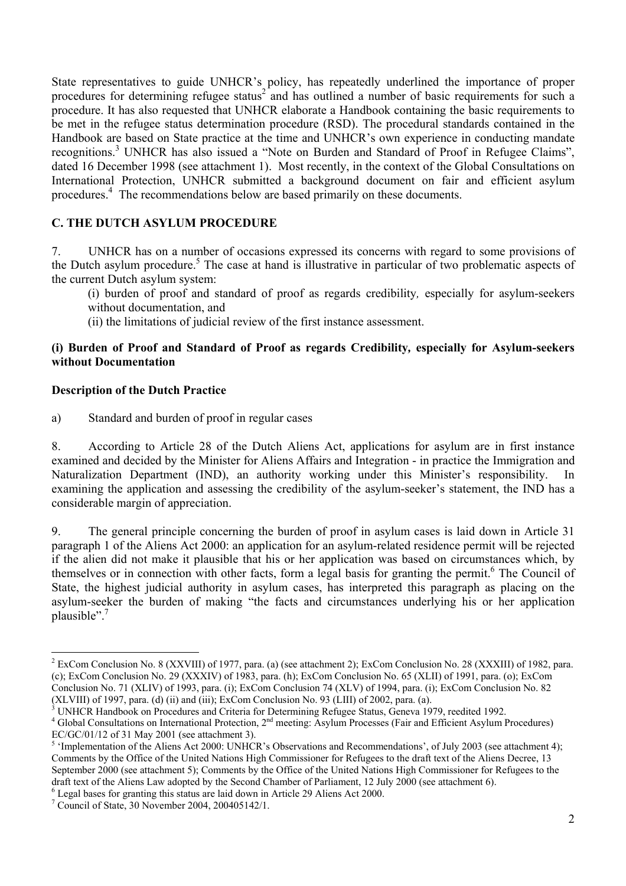State representatives to guide UNHCR's policy, has repeatedly underlined the importance of proper procedures for determining refugee status<sup>2</sup> and has outlined a number of basic requirements for such a procedure. It has also requested that UNHCR elaborate a Handbook containing the basic requirements to be met in the refugee status determination procedure (RSD). The procedural standards contained in the Handbook are based on State practice at the time and UNHCR's own experience in conducting mandate recognitions.<sup>3</sup> UNHCR has also issued a "Note on Burden and Standard of Proof in Refugee Claims", dated 16 December 1998 (see attachment 1). Most recently, in the context of the Global Consultations on International Protection, UNHCR submitted a background document on fair and efficient asylum procedures.<sup>4</sup> The recommendations below are based primarily on these documents.

# **C. THE DUTCH ASYLUM PROCEDURE**

7. UNHCR has on a number of occasions expressed its concerns with regard to some provisions of the Dutch asylum procedure.<sup>5</sup> The case at hand is illustrative in particular of two problematic aspects of the current Dutch asylum system:

(i) burden of proof and standard of proof as regards credibility*,* especially for asylum-seekers without documentation, and

(ii) the limitations of judicial review of the first instance assessment.

#### **(i) Burden of Proof and Standard of Proof as regards Credibility***,* **especially for Asylum-seekers without Documentation**

#### **Description of the Dutch Practice**

-

a) Standard and burden of proof in regular cases

8. According to Article 28 of the Dutch Aliens Act, applications for asylum are in first instance examined and decided by the Minister for Aliens Affairs and Integration - in practice the Immigration and Naturalization Department (IND), an authority working under this Minister's responsibility. In examining the application and assessing the credibility of the asylum-seeker's statement, the IND has a considerable margin of appreciation.

9. The general principle concerning the burden of proof in asylum cases is laid down in Article 31 paragraph 1 of the Aliens Act 2000: an application for an asylum-related residence permit will be rejected if the alien did not make it plausible that his or her application was based on circumstances which, by themselves or in connection with other facts, form a legal basis for granting the permit.<sup>6</sup> The Council of State, the highest judicial authority in asylum cases, has interpreted this paragraph as placing on the asylum-seeker the burden of making "the facts and circumstances underlying his or her application plausible".<sup>7</sup>

 $2 \text{ ExCom Conclusion No. 8 (XXVIII) of 1977, para. (a) (see attachment 2); ExCom Conclusion No. 28 (XXXIII) of 1982, para.$ (c); ExCom Conclusion No. 29 (XXXIV) of 1983, para. (h); ExCom Conclusion No. 65 (XLII) of 1991, para. (o); ExCom Conclusion No. 71 (XLIV) of 1993, para. (i); ExCom Conclusion 74 (XLV) of 1994, para. (i); ExCom Conclusion No. 82  $(XLVIII)$  of 1997, para. (d) (ii) and (iii); ExCom Conclusion No. 93 (LIII) of 2002, para. (a).

 $3$  UNHCR Handbook on Procedures and Criteria for Determining Refugee Status, Geneva 1979, reedited 1992.

 $4$  Global Consultations on International Protection,  $2<sup>nd</sup>$  meeting: Asylum Processes (Fair and Efficient Asylum Procedures) EC/GC/01/12 of 31 May 2001 (see attachment 3).

<sup>&</sup>lt;sup>5</sup> 'Implementation of the Aliens Act 2000: UNHCR's Observations and Recommendations', of July 2003 (see attachment 4); Comments by the Office of the United Nations High Commissioner for Refugees to the draft text of the Aliens Decree, 13 September 2000 (see attachment 5); Comments by the Office of the United Nations High Commissioner for Refugees to the draft text of the Aliens Law adopted by the Second Chamber of Parliament, 12 July 2000 (see attachment 6).

<sup>&</sup>lt;sup>6</sup> Legal bases for granting this status are laid down in Article 29 Aliens Act 2000.

<sup>7</sup> Council of State, 30 November 2004, 200405142/1.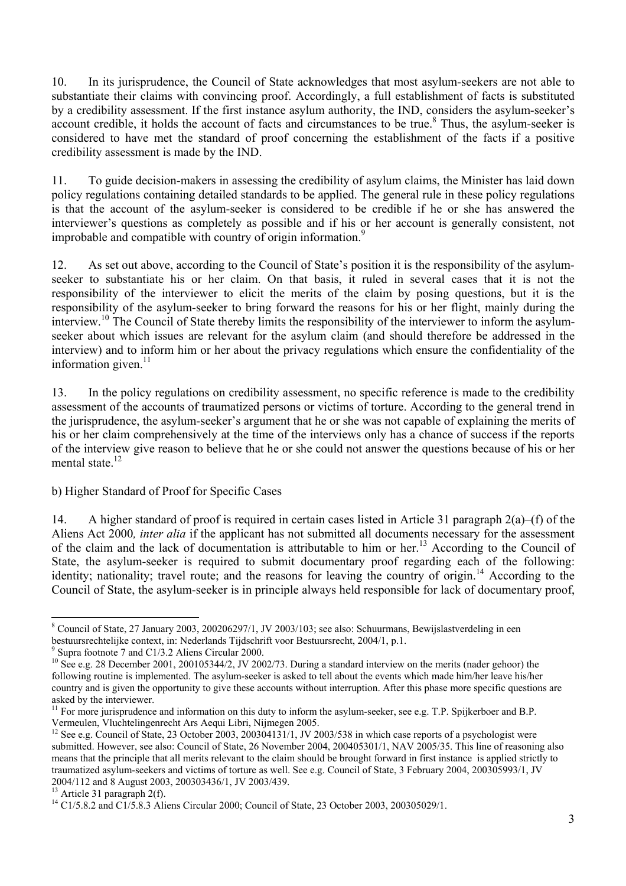10. In its jurisprudence, the Council of State acknowledges that most asylum-seekers are not able to substantiate their claims with convincing proof. Accordingly, a full establishment of facts is substituted by a credibility assessment. If the first instance asylum authority, the IND, considers the asylum-seeker's account credible, it holds the account of facts and circumstances to be true.<sup>8</sup> Thus, the asylum-seeker is considered to have met the standard of proof concerning the establishment of the facts if a positive credibility assessment is made by the IND.

11. To guide decision-makers in assessing the credibility of asylum claims, the Minister has laid down policy regulations containing detailed standards to be applied. The general rule in these policy regulations is that the account of the asylum-seeker is considered to be credible if he or she has answered the interviewer's questions as completely as possible and if his or her account is generally consistent, not improbable and compatible with country of origin information.<sup>9</sup>

12. As set out above, according to the Council of State's position it is the responsibility of the asylumseeker to substantiate his or her claim. On that basis, it ruled in several cases that it is not the responsibility of the interviewer to elicit the merits of the claim by posing questions, but it is the responsibility of the asylum-seeker to bring forward the reasons for his or her flight, mainly during the interview.10 The Council of State thereby limits the responsibility of the interviewer to inform the asylumseeker about which issues are relevant for the asylum claim (and should therefore be addressed in the interview) and to inform him or her about the privacy regulations which ensure the confidentiality of the information given. $11$ 

13. In the policy regulations on credibility assessment, no specific reference is made to the credibility assessment of the accounts of traumatized persons or victims of torture. According to the general trend in the jurisprudence, the asylum-seeker's argument that he or she was not capable of explaining the merits of his or her claim comprehensively at the time of the interviews only has a chance of success if the reports of the interview give reason to believe that he or she could not answer the questions because of his or her mental state.<sup>12</sup>

### b) Higher Standard of Proof for Specific Cases

14. A higher standard of proof is required in certain cases listed in Article 31 paragraph  $2(a)$ –(f) of the Aliens Act 2000*, inter alia* if the applicant has not submitted all documents necessary for the assessment of the claim and the lack of documentation is attributable to him or her.<sup>13</sup> According to the Council of State, the asylum-seeker is required to submit documentary proof regarding each of the following: identity; nationality; travel route; and the reasons for leaving the country of origin.<sup>14</sup> According to the Council of State, the asylum-seeker is in principle always held responsible for lack of documentary proof,

<sup>-</sup><sup>8</sup> Council of State, 27 January 2003, 200206297/1, JV 2003/103; see also: Schuurmans, Bewijslastverdeling in een bestuursrechtelijke context, in: Nederlands Tijdschrift voor Bestuursrecht, 2004/1, p.1.

<sup>9</sup> Supra footnote 7 and C1/3.2 Aliens Circular 2000.

 $10$  See e.g. 28 December 2001, 200105344/2, JV 2002/73. During a standard interview on the merits (nader gehoor) the following routine is implemented. The asylum-seeker is asked to tell about the events which made him/her leave his/her country and is given the opportunity to give these accounts without interruption. After this phase more specific questions are asked by the interviewer.

 $11$  For more jurisprudence and information on this duty to inform the asylum-seeker, see e.g. T.P. Spijkerboer and B.P. Vermeulen, Vluchtelingenrecht Ars Aequi Libri, Nijmegen 2005.

<sup>&</sup>lt;sup>12</sup> See e.g. Council of State, 23 October 2003, 200304131/1, JV 2003/538 in which case reports of a psychologist were submitted. However, see also: Council of State, 26 November 2004, 200405301/1, NAV 2005/35. This line of reasoning also means that the principle that all merits relevant to the claim should be brought forward in first instance is applied strictly to traumatized asylum-seekers and victims of torture as well. See e.g. Council of State, 3 February 2004, 200305993/1, JV 2004/112 and 8 August 2003, 200303436/1, JV 2003/439.

 $13$  Article 31 paragraph 2(f).

<sup>&</sup>lt;sup>14</sup> C1/5.8.2 and C1/5.8.3 Aliens Circular 2000; Council of State, 23 October 2003, 200305029/1.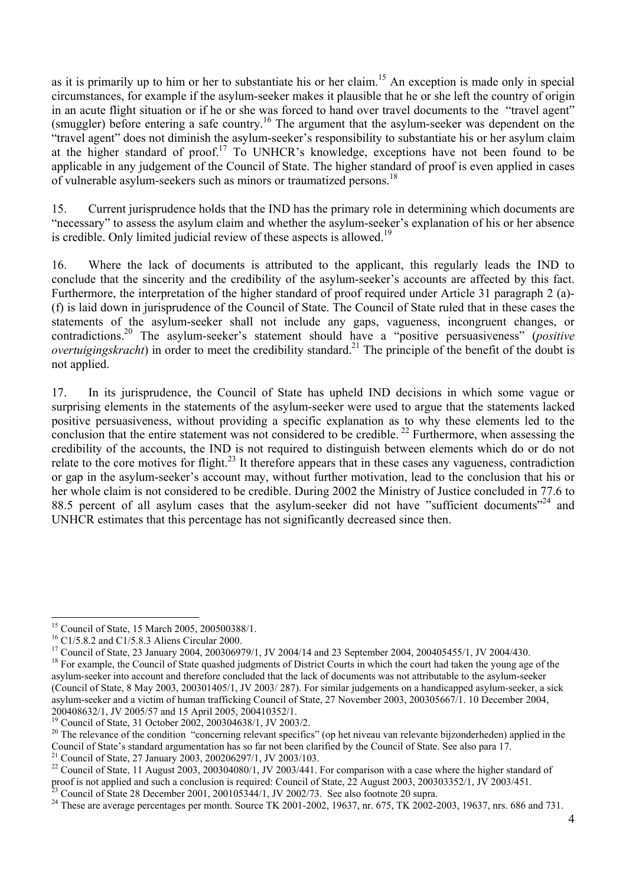as it is primarily up to him or her to substantiate his or her claim.<sup>15</sup> An exception is made only in special circumstances, for example if the asylum-seeker makes it plausible that he or she left the country of origin in an acute flight situation or if he or she was forced to hand over travel documents to the "travel agent" (smuggler) before entering a safe country.16 The argument that the asylum-seeker was dependent on the "travel agent" does not diminish the asylum-seeker's responsibility to substantiate his or her asylum claim at the higher standard of proof.<sup>17</sup> To UNHCR's knowledge, exceptions have not been found to be applicable in any judgement of the Council of State. The higher standard of proof is even applied in cases of vulnerable asylum-seekers such as minors or traumatized persons.18

15. Current jurisprudence holds that the IND has the primary role in determining which documents are "necessary" to assess the asylum claim and whether the asylum-seeker's explanation of his or her absence is credible. Only limited judicial review of these aspects is allowed.<sup>19</sup>

16. Where the lack of documents is attributed to the applicant, this regularly leads the IND to conclude that the sincerity and the credibility of the asylum-seeker's accounts are affected by this fact. Furthermore, the interpretation of the higher standard of proof required under Article 31 paragraph 2 (a)- (f) is laid down in jurisprudence of the Council of State. The Council of State ruled that in these cases the statements of the asylum-seeker shall not include any gaps, vagueness, incongruent changes, or contradictions.20 The asylum-seeker's statement should have a "positive persuasiveness" (*positive overtuigingskracht*) in order to meet the credibility standard.<sup>21</sup> The principle of the benefit of the doubt is not applied.

17. In its jurisprudence, the Council of State has upheld IND decisions in which some vague or surprising elements in the statements of the asylum-seeker were used to argue that the statements lacked positive persuasiveness, without providing a specific explanation as to why these elements led to the conclusion that the entire statement was not considered to be credible.<sup>22</sup> Furthermore, when assessing the credibility of the accounts, the IND is not required to distinguish between elements which do or do not relate to the core motives for flight.<sup>23</sup> It therefore appears that in these cases any vagueness, contradiction or gap in the asylum-seeker's account may, without further motivation, lead to the conclusion that his or her whole claim is not considered to be credible. During 2002 the Ministry of Justice concluded in 77.6 to 88.5 percent of all asylum cases that the asylum-seeker did not have "sufficient documents"<sup>24</sup> and UNHCR estimates that this percentage has not significantly decreased since then.

<sup>17</sup> Council of State, 23 January 2004, 200306979/1, JV 2004/14 and 23 September 2004, 200405455/1, JV 2004/430.

21 Council of State, 27 January 2003, 200206297/1, JV 2003/103.

<sup>-</sup>15 Council of State, 15 March 2005, 200500388/1.

<sup>&</sup>lt;sup>16</sup> C1/5.8.2 and C1/5.8.3 Aliens Circular 2000.

<sup>&</sup>lt;sup>18</sup> For example, the Council of State quashed judgments of District Courts in which the court had taken the young age of the asylum-seeker into account and therefore concluded that the lack of documents was not attributable to the asylum-seeker (Council of State, 8 May 2003, 200301405/1, JV 2003/ 287). For similar judgements on a handicapped asylum-seeker, a sick asylum-seeker and a victim of human trafficking Council of State, 27 November 2003, 200305667/1. 10 December 2004, 200408632/1, JV 2005/57 and 15 April 2005, 200410352/1.

<sup>&</sup>lt;sup>19</sup> Council of State, 31 October 2002, 200304638/1, JV 2003/2.

<sup>&</sup>lt;sup>20</sup> The relevance of the condition "concerning relevant specifics" (op het niveau van relevante bijzonderheden) applied in the Council of State's standard argumentation has so far not been clarified by the Council of State. See also para 17.

 $^{22}$  Council of State, 11 August 2003, 200304080/1, JV 2003/441. For comparison with a case where the higher standard of proof is not applied and such a conclusion is required: Council of State, 22 August 2003, 200303352/1, JV 2003/451.

 $\frac{23}{23}$  Council of State 28 December 2001, 200105344/1, JV 2002/73. See also footnote 20 supra.

<sup>&</sup>lt;sup>24</sup> These are average percentages per month. Source TK 2001-2002, 19637, nr. 675, TK 2002-2003, 19637, nrs. 686 and 731.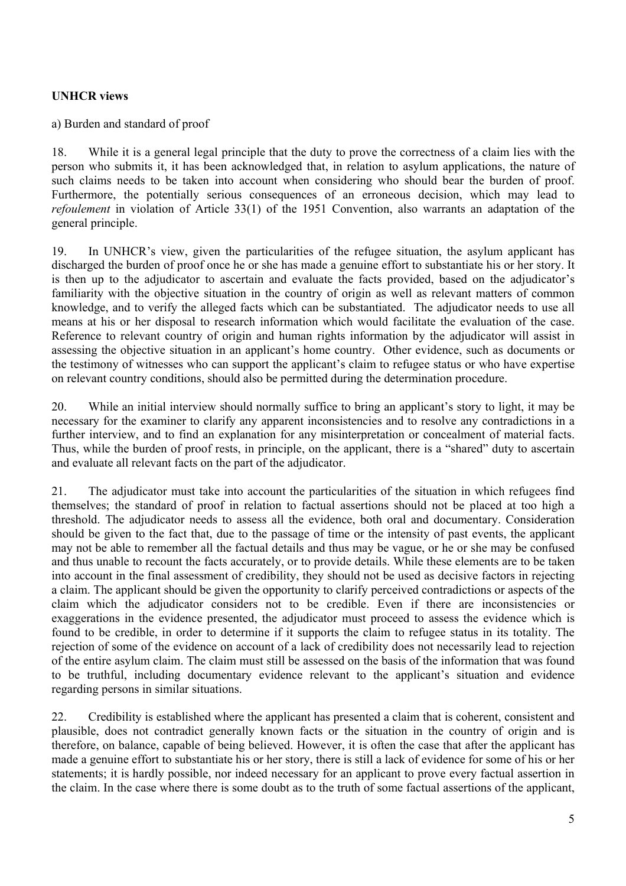# **UNHCR views**

a) Burden and standard of proof

18. While it is a general legal principle that the duty to prove the correctness of a claim lies with the person who submits it, it has been acknowledged that, in relation to asylum applications, the nature of such claims needs to be taken into account when considering who should bear the burden of proof. Furthermore, the potentially serious consequences of an erroneous decision, which may lead to *refoulement* in violation of Article 33(1) of the 1951 Convention, also warrants an adaptation of the general principle.

19. In UNHCR's view, given the particularities of the refugee situation, the asylum applicant has discharged the burden of proof once he or she has made a genuine effort to substantiate his or her story. It is then up to the adjudicator to ascertain and evaluate the facts provided, based on the adjudicator's familiarity with the objective situation in the country of origin as well as relevant matters of common knowledge, and to verify the alleged facts which can be substantiated. The adjudicator needs to use all means at his or her disposal to research information which would facilitate the evaluation of the case. Reference to relevant country of origin and human rights information by the adjudicator will assist in assessing the objective situation in an applicant's home country. Other evidence, such as documents or the testimony of witnesses who can support the applicant's claim to refugee status or who have expertise on relevant country conditions, should also be permitted during the determination procedure.

20. While an initial interview should normally suffice to bring an applicant's story to light, it may be necessary for the examiner to clarify any apparent inconsistencies and to resolve any contradictions in a further interview, and to find an explanation for any misinterpretation or concealment of material facts. Thus, while the burden of proof rests, in principle, on the applicant, there is a "shared" duty to ascertain and evaluate all relevant facts on the part of the adjudicator.

21. The adjudicator must take into account the particularities of the situation in which refugees find themselves; the standard of proof in relation to factual assertions should not be placed at too high a threshold. The adjudicator needs to assess all the evidence, both oral and documentary. Consideration should be given to the fact that, due to the passage of time or the intensity of past events, the applicant may not be able to remember all the factual details and thus may be vague, or he or she may be confused and thus unable to recount the facts accurately, or to provide details. While these elements are to be taken into account in the final assessment of credibility, they should not be used as decisive factors in rejecting a claim. The applicant should be given the opportunity to clarify perceived contradictions or aspects of the claim which the adjudicator considers not to be credible. Even if there are inconsistencies or exaggerations in the evidence presented, the adjudicator must proceed to assess the evidence which is found to be credible, in order to determine if it supports the claim to refugee status in its totality. The rejection of some of the evidence on account of a lack of credibility does not necessarily lead to rejection of the entire asylum claim. The claim must still be assessed on the basis of the information that was found to be truthful, including documentary evidence relevant to the applicant's situation and evidence regarding persons in similar situations.

22. Credibility is established where the applicant has presented a claim that is coherent, consistent and plausible, does not contradict generally known facts or the situation in the country of origin and is therefore, on balance, capable of being believed. However, it is often the case that after the applicant has made a genuine effort to substantiate his or her story, there is still a lack of evidence for some of his or her statements; it is hardly possible, nor indeed necessary for an applicant to prove every factual assertion in the claim. In the case where there is some doubt as to the truth of some factual assertions of the applicant,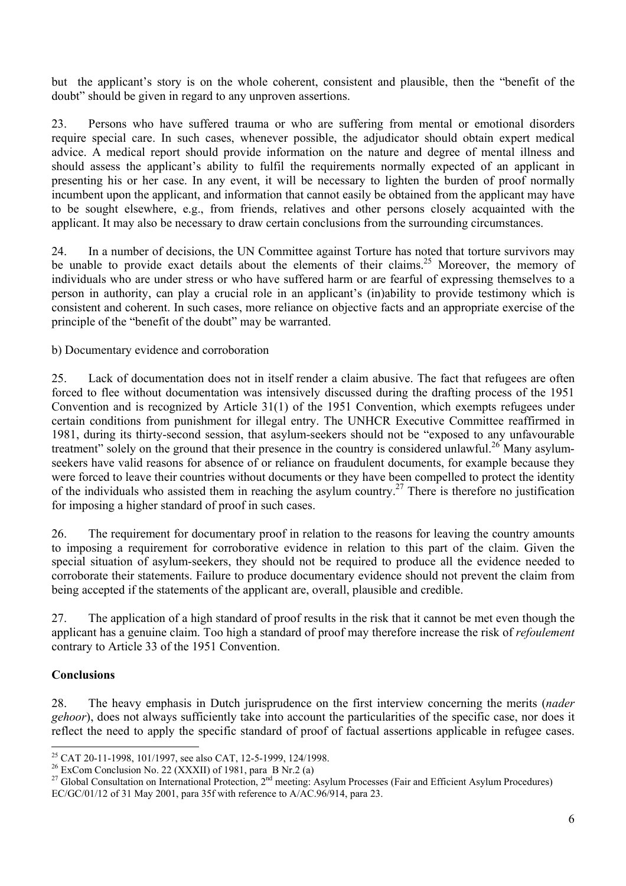but the applicant's story is on the whole coherent, consistent and plausible, then the "benefit of the doubt" should be given in regard to any unproven assertions.

23. Persons who have suffered trauma or who are suffering from mental or emotional disorders require special care. In such cases, whenever possible, the adjudicator should obtain expert medical advice. A medical report should provide information on the nature and degree of mental illness and should assess the applicant's ability to fulfil the requirements normally expected of an applicant in presenting his or her case. In any event, it will be necessary to lighten the burden of proof normally incumbent upon the applicant, and information that cannot easily be obtained from the applicant may have to be sought elsewhere, e.g., from friends, relatives and other persons closely acquainted with the applicant. It may also be necessary to draw certain conclusions from the surrounding circumstances.

24. In a number of decisions, the UN Committee against Torture has noted that torture survivors may be unable to provide exact details about the elements of their claims.<sup>25</sup> Moreover, the memory of individuals who are under stress or who have suffered harm or are fearful of expressing themselves to a person in authority, can play a crucial role in an applicant's (in)ability to provide testimony which is consistent and coherent. In such cases, more reliance on objective facts and an appropriate exercise of the principle of the "benefit of the doubt" may be warranted.

b) Documentary evidence and corroboration

25. Lack of documentation does not in itself render a claim abusive. The fact that refugees are often forced to flee without documentation was intensively discussed during the drafting process of the 1951 Convention and is recognized by Article 31(1) of the 1951 Convention, which exempts refugees under certain conditions from punishment for illegal entry. The UNHCR Executive Committee reaffirmed in 1981, during its thirty-second session, that asylum-seekers should not be "exposed to any unfavourable treatment" solely on the ground that their presence in the country is considered unlawful.<sup>26</sup> Many asylumseekers have valid reasons for absence of or reliance on fraudulent documents, for example because they were forced to leave their countries without documents or they have been compelled to protect the identity of the individuals who assisted them in reaching the asylum country.<sup>27</sup> There is therefore no justification for imposing a higher standard of proof in such cases.

26. The requirement for documentary proof in relation to the reasons for leaving the country amounts to imposing a requirement for corroborative evidence in relation to this part of the claim. Given the special situation of asylum-seekers, they should not be required to produce all the evidence needed to corroborate their statements. Failure to produce documentary evidence should not prevent the claim from being accepted if the statements of the applicant are, overall, plausible and credible.

27. The application of a high standard of proof results in the risk that it cannot be met even though the applicant has a genuine claim. Too high a standard of proof may therefore increase the risk of *refoulement* contrary to Article 33 of the 1951 Convention.

### **Conclusions**

-

28. The heavy emphasis in Dutch jurisprudence on the first interview concerning the merits (*nader gehoor*), does not always sufficiently take into account the particularities of the specific case, nor does it reflect the need to apply the specific standard of proof of factual assertions applicable in refugee cases.

<sup>25</sup> CAT 20-11-1998, 101/1997, see also CAT, 12-5-1999, 124/1998.

<sup>&</sup>lt;sup>26</sup> ExCom Conclusion No. 22 (XXXII) of 1981, para B Nr.2 (a)

<sup>&</sup>lt;sup>27</sup> Global Consultation on International Protection,  $2^{nd}$  meeting: Asylum Processes (Fair and Efficient Asylum Procedures) EC/GC/01/12 of 31 May 2001, para 35f with reference to A/AC.96/914, para 23.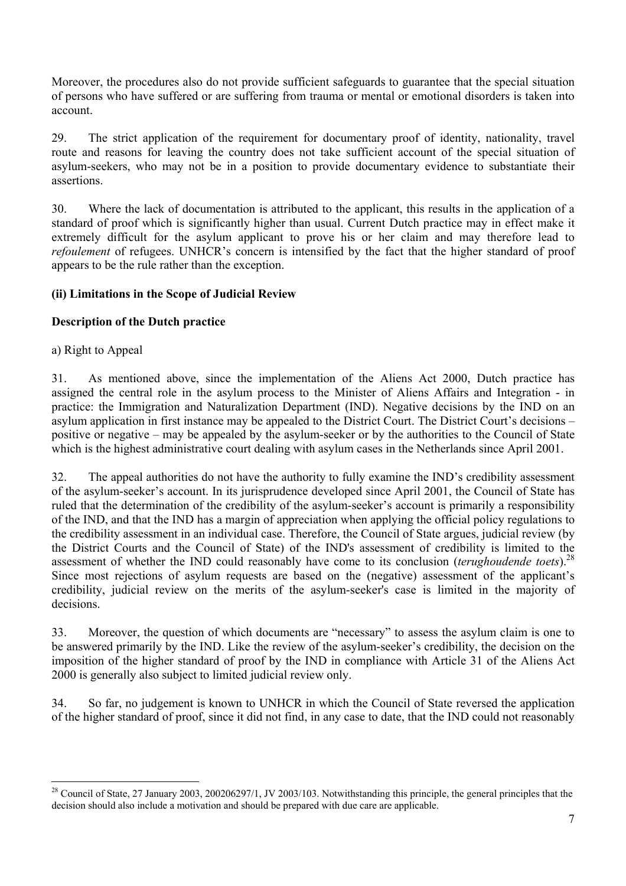Moreover, the procedures also do not provide sufficient safeguards to guarantee that the special situation of persons who have suffered or are suffering from trauma or mental or emotional disorders is taken into account.

29. The strict application of the requirement for documentary proof of identity, nationality, travel route and reasons for leaving the country does not take sufficient account of the special situation of asylum-seekers, who may not be in a position to provide documentary evidence to substantiate their assertions.

30. Where the lack of documentation is attributed to the applicant, this results in the application of a standard of proof which is significantly higher than usual. Current Dutch practice may in effect make it extremely difficult for the asylum applicant to prove his or her claim and may therefore lead to *refoulement* of refugees. UNHCR's concern is intensified by the fact that the higher standard of proof appears to be the rule rather than the exception.

# **(ii) Limitations in the Scope of Judicial Review**

# **Description of the Dutch practice**

a) Right to Appeal

31. As mentioned above, since the implementation of the Aliens Act 2000, Dutch practice has assigned the central role in the asylum process to the Minister of Aliens Affairs and Integration - in practice: the Immigration and Naturalization Department (IND). Negative decisions by the IND on an asylum application in first instance may be appealed to the District Court. The District Court's decisions – positive or negative – may be appealed by the asylum-seeker or by the authorities to the Council of State which is the highest administrative court dealing with asylum cases in the Netherlands since April 2001.

32. The appeal authorities do not have the authority to fully examine the IND's credibility assessment of the asylum-seeker's account. In its jurisprudence developed since April 2001, the Council of State has ruled that the determination of the credibility of the asylum-seeker's account is primarily a responsibility of the IND, and that the IND has a margin of appreciation when applying the official policy regulations to the credibility assessment in an individual case. Therefore, the Council of State argues, judicial review (by the District Courts and the Council of State) of the IND's assessment of credibility is limited to the assessment of whether the IND could reasonably have come to its conclusion (*terughoudende toets*).28 Since most rejections of asylum requests are based on the (negative) assessment of the applicant's credibility, judicial review on the merits of the asylum-seeker's case is limited in the majority of decisions.

33. Moreover, the question of which documents are "necessary" to assess the asylum claim is one to be answered primarily by the IND. Like the review of the asylum-seeker's credibility, the decision on the imposition of the higher standard of proof by the IND in compliance with Article 31 of the Aliens Act 2000 is generally also subject to limited judicial review only.

34. So far, no judgement is known to UNHCR in which the Council of State reversed the application of the higher standard of proof, since it did not find, in any case to date, that the IND could not reasonably

<sup>-</sup><sup>28</sup> Council of State, 27 January 2003, 200206297/1, JV 2003/103. Notwithstanding this principle, the general principles that the decision should also include a motivation and should be prepared with due care are applicable.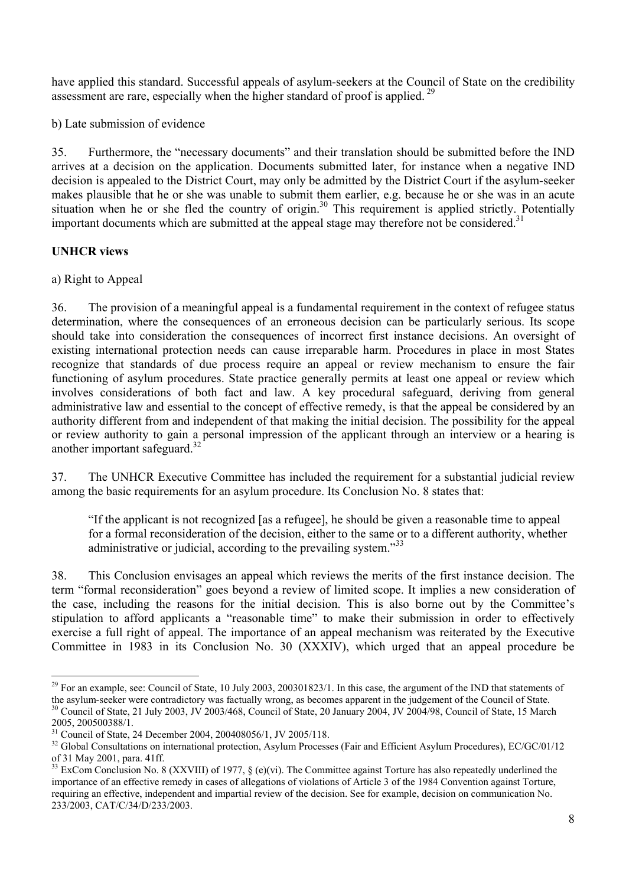have applied this standard. Successful appeals of asylum-seekers at the Council of State on the credibility assessment are rare, especially when the higher standard of proof is applied.<sup>29</sup>

b) Late submission of evidence

35. Furthermore, the "necessary documents" and their translation should be submitted before the IND arrives at a decision on the application. Documents submitted later, for instance when a negative IND decision is appealed to the District Court, may only be admitted by the District Court if the asylum-seeker makes plausible that he or she was unable to submit them earlier, e.g. because he or she was in an acute situation when he or she fled the country of origin.<sup>30</sup> This requirement is applied strictly. Potentially important documents which are submitted at the appeal stage may therefore not be considered.<sup>31</sup>

# **UNHCR views**

a) Right to Appeal

36. The provision of a meaningful appeal is a fundamental requirement in the context of refugee status determination, where the consequences of an erroneous decision can be particularly serious. Its scope should take into consideration the consequences of incorrect first instance decisions. An oversight of existing international protection needs can cause irreparable harm. Procedures in place in most States recognize that standards of due process require an appeal or review mechanism to ensure the fair functioning of asylum procedures. State practice generally permits at least one appeal or review which involves considerations of both fact and law. A key procedural safeguard, deriving from general administrative law and essential to the concept of effective remedy, is that the appeal be considered by an authority different from and independent of that making the initial decision. The possibility for the appeal or review authority to gain a personal impression of the applicant through an interview or a hearing is another important safeguard. $32$ 

37. The UNHCR Executive Committee has included the requirement for a substantial judicial review among the basic requirements for an asylum procedure. Its Conclusion No. 8 states that:

"If the applicant is not recognized [as a refugee], he should be given a reasonable time to appeal for a formal reconsideration of the decision, either to the same or to a different authority, whether administrative or judicial, according to the prevailing system.<sup>33</sup>

38. This Conclusion envisages an appeal which reviews the merits of the first instance decision. The term "formal reconsideration" goes beyond a review of limited scope. It implies a new consideration of the case, including the reasons for the initial decision. This is also borne out by the Committee's stipulation to afford applicants a "reasonable time" to make their submission in order to effectively exercise a full right of appeal. The importance of an appeal mechanism was reiterated by the Executive Committee in 1983 in its Conclusion No. 30 (XXXIV), which urged that an appeal procedure be

-

 $^{29}$  For an example, see: Council of State, 10 July 2003, 200301823/1. In this case, the argument of the IND that statements of the asylum-seeker were contradictory was factually wrong, as becomes apparent in the judgement of the Council of State. <sup>30</sup> Council of State, 21 July 2003, JV 2003/468, Council of State, 20 January 2004, JV 2004/98, Council of State, 15 March

<sup>2005, 200500388/1.</sup> 

<sup>&</sup>lt;sup>31</sup> Council of State, 24 December 2004, 200408056/1, JV 2005/118.

<sup>&</sup>lt;sup>32</sup> Global Consultations on international protection, Asylum Processes (Fair and Efficient Asylum Procedures), EC/GC/01/12 of 31 May 2001, para. 41ff.

 $33$  ExCom Conclusion No. 8 (XXVIII) of 1977, § (e)(vi). The Committee against Torture has also repeatedly underlined the importance of an effective remedy in cases of allegations of violations of Article 3 of the 1984 Convention against Torture, requiring an effective, independent and impartial review of the decision. See for example, decision on communication No. 233/2003, CAT/C/34/D/233/2003.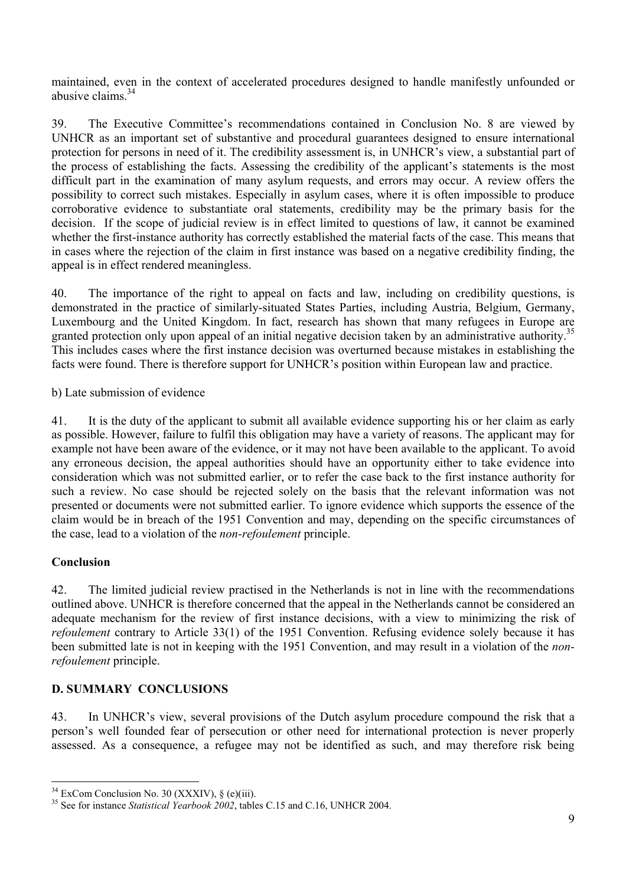maintained, even in the context of accelerated procedures designed to handle manifestly unfounded or abusive claims  $34$ 

39. The Executive Committee's recommendations contained in Conclusion No. 8 are viewed by UNHCR as an important set of substantive and procedural guarantees designed to ensure international protection for persons in need of it. The credibility assessment is, in UNHCR's view, a substantial part of the process of establishing the facts. Assessing the credibility of the applicant's statements is the most difficult part in the examination of many asylum requests, and errors may occur. A review offers the possibility to correct such mistakes. Especially in asylum cases, where it is often impossible to produce corroborative evidence to substantiate oral statements, credibility may be the primary basis for the decision. If the scope of judicial review is in effect limited to questions of law, it cannot be examined whether the first-instance authority has correctly established the material facts of the case. This means that in cases where the rejection of the claim in first instance was based on a negative credibility finding, the appeal is in effect rendered meaningless.

40. The importance of the right to appeal on facts and law, including on credibility questions, is demonstrated in the practice of similarly-situated States Parties, including Austria, Belgium, Germany, Luxembourg and the United Kingdom. In fact, research has shown that many refugees in Europe are granted protection only upon appeal of an initial negative decision taken by an administrative authority.<sup>35</sup> This includes cases where the first instance decision was overturned because mistakes in establishing the facts were found. There is therefore support for UNHCR's position within European law and practice.

b) Late submission of evidence

41. It is the duty of the applicant to submit all available evidence supporting his or her claim as early as possible. However, failure to fulfil this obligation may have a variety of reasons. The applicant may for example not have been aware of the evidence, or it may not have been available to the applicant. To avoid any erroneous decision, the appeal authorities should have an opportunity either to take evidence into consideration which was not submitted earlier, or to refer the case back to the first instance authority for such a review. No case should be rejected solely on the basis that the relevant information was not presented or documents were not submitted earlier. To ignore evidence which supports the essence of the claim would be in breach of the 1951 Convention and may, depending on the specific circumstances of the case, lead to a violation of the *non-refoulement* principle.

### **Conclusion**

-

42. The limited judicial review practised in the Netherlands is not in line with the recommendations outlined above. UNHCR is therefore concerned that the appeal in the Netherlands cannot be considered an adequate mechanism for the review of first instance decisions, with a view to minimizing the risk of *refoulement* contrary to Article 33(1) of the 1951 Convention. Refusing evidence solely because it has been submitted late is not in keeping with the 1951 Convention, and may result in a violation of the *nonrefoulement* principle.

# **D. SUMMARY CONCLUSIONS**

43. In UNHCR's view, several provisions of the Dutch asylum procedure compound the risk that a person's well founded fear of persecution or other need for international protection is never properly assessed. As a consequence, a refugee may not be identified as such, and may therefore risk being

 $34$  ExCom Conclusion No. 30 (XXXIV), § (e)(iii).

<sup>&</sup>lt;sup>35</sup> See for instance *Statistical Yearbook 2002*, tables C.15 and C.16, UNHCR 2004.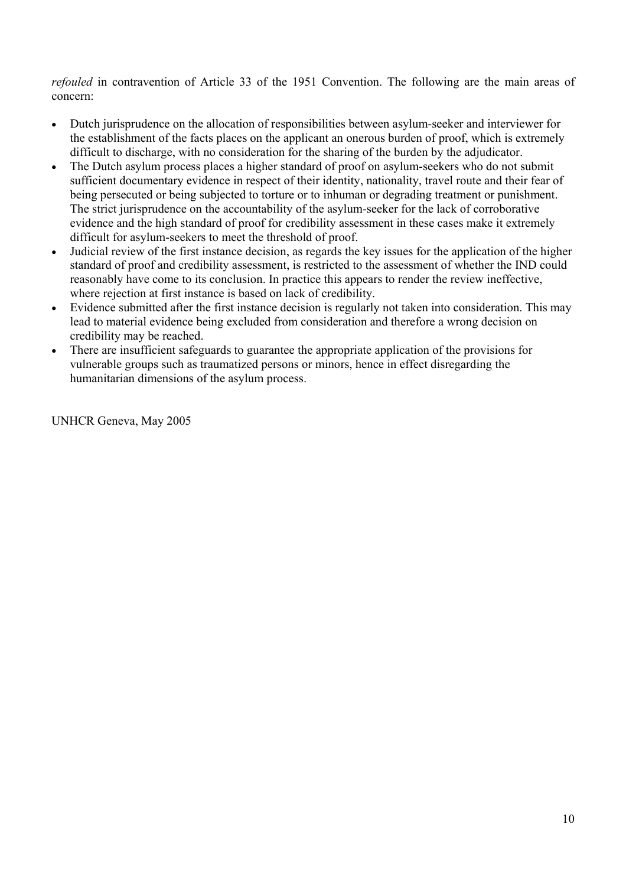*refouled* in contravention of Article 33 of the 1951 Convention. The following are the main areas of concern:

- Dutch jurisprudence on the allocation of responsibilities between asylum-seeker and interviewer for the establishment of the facts places on the applicant an onerous burden of proof, which is extremely difficult to discharge, with no consideration for the sharing of the burden by the adjudicator.
- The Dutch asylum process places a higher standard of proof on asylum-seekers who do not submit sufficient documentary evidence in respect of their identity, nationality, travel route and their fear of being persecuted or being subjected to torture or to inhuman or degrading treatment or punishment. The strict jurisprudence on the accountability of the asylum-seeker for the lack of corroborative evidence and the high standard of proof for credibility assessment in these cases make it extremely difficult for asylum-seekers to meet the threshold of proof.
- Judicial review of the first instance decision, as regards the key issues for the application of the higher standard of proof and credibility assessment, is restricted to the assessment of whether the IND could reasonably have come to its conclusion. In practice this appears to render the review ineffective, where rejection at first instance is based on lack of credibility.
- Evidence submitted after the first instance decision is regularly not taken into consideration. This may lead to material evidence being excluded from consideration and therefore a wrong decision on credibility may be reached.
- There are insufficient safeguards to guarantee the appropriate application of the provisions for vulnerable groups such as traumatized persons or minors, hence in effect disregarding the humanitarian dimensions of the asylum process.

UNHCR Geneva, May 2005